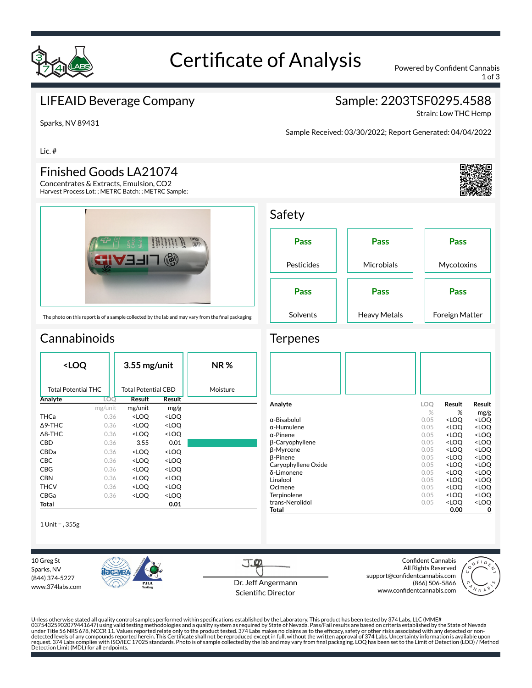

# Certificate of Analysis Powered by Confident Cannabis

Safety

**Terpenes** 

1 of 3

### LIFEAID Beverage Company

# Sample: 2203TSF0295.4588

Strain: Low THC Hemp

Sparks, NV 89431

Lic. #

#### Finished Goods LA21074

Concentrates & Extracts, Emulsion, CO2 Harvest Process Lot: ; METRC Batch: ; METRC Sample:



**Pass** Pesticides **Pass Microbials Pass Mycotoxins Pass** Solvents **Pass** Heavy Metals **Pass** Foreign Matter

**Analyte LOQ Result Result**

 $\alpha$ -Bisabolol  $\alpha$ -Humulene  $\alpha$ -Humulene  $\alpha$ -Humulene  $\alpha$ -LOQ <LOQ  $\alpha$ -LOQ  $\alpha$ -LOQ  $\alpha$ -LOQ  $\alpha$ 

α-Pinene **0.05 <LOQ <LOQ**<br>β-Caryophyllene 0.05 <LOQ <LOQ  $β$ -Caryophyllene 0.05 <LOQ <LOQ <COQ + 0.05 <LOQ + 0.05 <LOQ + 0.05 + 0.05 + 0.05 + 0.05 + 0.05 + 0.00 + 0.05 + 0.00 + 0.00 + 0.00 + 0.00 + 0.00 + 0.00 + 0.00 + 0.00 + 0.00 + 0.00 + 0.00 + 0.00 + 0.00 + 0.00 + 0.00 + 0.0

ſ-Pinene 0.05 <LOQ <LOQ Caryophyllene Oxide 0.05 <LOQ <LOQ δ-Limonene 0.05 <LOQ <LOQ Linalool **Contract Contract Contract Contract Contract Contract Contract Contract Contract Contract Contract Contract Contract Contract Contract Contract Contract Contract Contract Contract Contract Contract Contract Contr** Ocimene 0.05 <LOQ <LOQ Terpinolene 0.05 <LOQ <LOQ trans-Nerolidol 0.05 <LOQ total 0.005 <LOQ **Total 0.00 0**

 $\alpha$ -Humulene 0.05

**β-Myrcene** 0.05 **p-Pinene** 0.05 **p-Pinene** 0.05

# **Cannabinoids**

| <loq< th=""><th></th><th><math>3.55</math> mg/unit</th><th></th><th>NR %</th></loq<> |         | $3.55$ mg/unit                                           |                              | NR %     |
|--------------------------------------------------------------------------------------|---------|----------------------------------------------------------|------------------------------|----------|
| <b>Total Potential THC</b>                                                           |         | Total Potential CBD                                      |                              | Moisture |
| Analyte                                                                              | LOO     | Result                                                   | Result                       |          |
|                                                                                      | mg/unit | mg/unit                                                  | mg/g                         |          |
| THCa                                                                                 | 0.36    | <loq< th=""><th><loq< th=""><th></th></loq<></th></loq<> | <loq< th=""><th></th></loq<> |          |
| $\Delta$ 9-THC                                                                       | 0.36    | <loq< th=""><th><loq< th=""><th></th></loq<></th></loq<> | <loq< th=""><th></th></loq<> |          |
| $\triangle$ 8-THC                                                                    | 0.36    | <loq< th=""><th><loq< th=""><th></th></loq<></th></loq<> | <loq< th=""><th></th></loq<> |          |
| CBD                                                                                  | 0.36    | 3.55                                                     | 0.01                         |          |
| CBDa                                                                                 | 0.36    | <loo< th=""><th><loo< th=""><th></th></loo<></th></loo<> | <loo< th=""><th></th></loo<> |          |
| <b>CBC</b>                                                                           | 0.36    | <loo< th=""><th><loq< th=""><th></th></loq<></th></loo<> | <loq< th=""><th></th></loq<> |          |
| CBG                                                                                  | 0.36    | <loo< th=""><th><loo< th=""><th></th></loo<></th></loo<> | <loo< th=""><th></th></loo<> |          |
| <b>CBN</b>                                                                           | 0.36    | <loo< th=""><th><loo< th=""><th></th></loo<></th></loo<> | <loo< th=""><th></th></loo<> |          |
| <b>THCV</b>                                                                          | 0.36    | <loq< th=""><th><loq< th=""><th></th></loq<></th></loq<> | <loq< th=""><th></th></loq<> |          |
| CBGa                                                                                 | 0.36    | <loq< th=""><th><loq< th=""><th></th></loq<></th></loq<> | <loq< th=""><th></th></loq<> |          |
| Total                                                                                |         |                                                          | 0.01                         |          |

1 Unit = , 355g

10 Greg St Sparks, NV (844) 374-5227 www.374labs.com



 $J_{\cdot}$   $\varphi$ Dr. Jeff Angermann Scientific Director

Confident Cannabis All Rights Reserved support@confidentcannabis.com (866) 506-5866 www.confidentcannabis.com



% % mg/g<br> $0.05$  <**LOQ** <**LOQ** 

Unless otherwise stated all quality control samples performed within specifications established by the Laboratory. This product has been tested by 374 Labs, LLC (MME# 03754325902079441647) using valid testing methodologies and a quality system as required by State of Nevada. Pass/Fail results are based on criteria established by the State of Nevada<br>under Title 56 NRS 678, NCCR 11. Value



Sample Received: 03/30/2022; Report Generated: 04/04/2022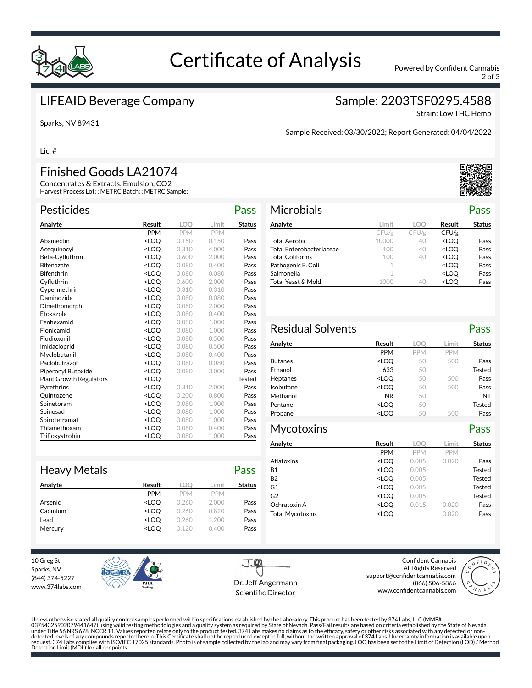

# Certificate of Analysis Powered by Confident Cannabis

2 of 3

#### LIFEAID Beverage Company

Sparks, NV 89431

#### Sample: 2203TSF0295.4588

Strain: Low THC Hemp

Sample Received: 03/30/2022; Report Generated: 04/04/2022

Lic. #

## Finished Goods LA21074

Concentrates & Extracts, Emulsion, CO2 Harvest Process Lot: ; METRC Batch: ; METRC Sample:

| <b>Pesticides</b>              |                                                              |            |            | Pass          |
|--------------------------------|--------------------------------------------------------------|------------|------------|---------------|
| Analyte                        | Result                                                       | <b>LOO</b> | Limit      | <b>Status</b> |
|                                | <b>PPM</b>                                                   | PPM        | <b>PPM</b> |               |
| Abamectin                      | <loo< td=""><td>0.150</td><td>0.150</td><td>Pass</td></loo<> | 0.150      | 0.150      | Pass          |
| Acequinocyl                    | <loo< td=""><td>0.310</td><td>4.000</td><td>Pass</td></loo<> | 0.310      | 4.000      | Pass          |
| Beta-Cyfluthrin                | <loo< td=""><td>0.600</td><td>2.000</td><td>Pass</td></loo<> | 0.600      | 2.000      | Pass          |
| <b>Bifenazate</b>              | <loo< td=""><td>0.080</td><td>0.400</td><td>Pass</td></loo<> | 0.080      | 0.400      | Pass          |
| <b>Bifenthrin</b>              | <loq< td=""><td>0.080</td><td>0.080</td><td>Pass</td></loq<> | 0.080      | 0.080      | Pass          |
| Cyfluthrin                     | <loo< td=""><td>0.600</td><td>2.000</td><td>Pass</td></loo<> | 0.600      | 2.000      | Pass          |
| Cypermethrin                   | <loo< td=""><td>0.310</td><td>0.310</td><td>Pass</td></loo<> | 0.310      | 0.310      | Pass          |
| Daminozide                     | <loo< td=""><td>0.080</td><td>0.080</td><td>Pass</td></loo<> | 0.080      | 0.080      | Pass          |
| Dimethomorph                   | <loq< td=""><td>0.080</td><td>2.000</td><td>Pass</td></loq<> | 0.080      | 2.000      | Pass          |
| Etoxazole                      | <loo< td=""><td>0.080</td><td>0.400</td><td>Pass</td></loo<> | 0.080      | 0.400      | Pass          |
| Fenhexamid                     | <loq< td=""><td>0.080</td><td>1.000</td><td>Pass</td></loq<> | 0.080      | 1.000      | Pass          |
| Flonicamid                     | <loo< td=""><td>0.080</td><td>1.000</td><td>Pass</td></loo<> | 0.080      | 1.000      | Pass          |
| Fludioxonil                    | <loq< td=""><td>0.080</td><td>0.500</td><td>Pass</td></loq<> | 0.080      | 0.500      | Pass          |
| Imidacloprid                   | <loo< td=""><td>0.080</td><td>0.500</td><td>Pass</td></loo<> | 0.080      | 0.500      | Pass          |
| Myclobutanil                   | <loq< td=""><td>0.080</td><td>0.400</td><td>Pass</td></loq<> | 0.080      | 0.400      | Pass          |
| Paclobutrazol                  | <loo< td=""><td>0.080</td><td>0.080</td><td>Pass</td></loo<> | 0.080      | 0.080      | Pass          |
| Piperonyl Butoxide             | <loq< td=""><td>0.080</td><td>3.000</td><td>Pass</td></loq<> | 0.080      | 3.000      | Pass          |
| <b>Plant Growth Regulators</b> | <loq< td=""><td></td><td></td><td><b>Tested</b></td></loq<>  |            |            | <b>Tested</b> |
| Pyrethrins                     | <loo< td=""><td>0.310</td><td>2.000</td><td>Pass</td></loo<> | 0.310      | 2.000      | Pass          |
| Quintozene                     | <loq< td=""><td>0.200</td><td>0.800</td><td>Pass</td></loq<> | 0.200      | 0.800      | Pass          |
| Spinetoram                     | <loo< td=""><td>0.080</td><td>1.000</td><td>Pass</td></loo<> | 0.080      | 1.000      | Pass          |
| Spinosad                       | <loq< td=""><td>0.080</td><td>1.000</td><td>Pass</td></loq<> | 0.080      | 1.000      | Pass          |
| Spirotetramat                  | <loo< td=""><td>0.080</td><td>1.000</td><td>Pass</td></loo<> | 0.080      | 1.000      | Pass          |
| Thiamethoxam                   | <loq< td=""><td>0.080</td><td>0.400</td><td>Pass</td></loq<> | 0.080      | 0.400      | Pass          |
| Trifloxystrobin                | <loo< td=""><td>0.080</td><td>1.000</td><td>Pass</td></loo<> | 0.080      | 1.000      | Pass          |

| <b>Microbials</b>        |       |       |                                  | Pass          |
|--------------------------|-------|-------|----------------------------------|---------------|
| Analyte                  | Limit | LOO   | Result                           | <b>Status</b> |
|                          | CFU/g | CFU/g | CFU/g                            |               |
| <b>Total Aerobic</b>     | 10000 | 40    | <loo< td=""><td>Pass</td></loo<> | Pass          |
| Total Enterobacteriaceae | 100   | 40    | <loo< td=""><td>Pass</td></loo<> | Pass          |
| <b>Total Coliforms</b>   | 100   | 40    | <loo< td=""><td>Pass</td></loo<> | Pass          |
| Pathogenic E. Coli       | 1     |       | <loo< td=""><td>Pass</td></loo<> | Pass          |
| Salmonella               | 1     |       | <loo< td=""><td>Pass</td></loo<> | Pass          |
| Total Yeast & Mold       |       | 40    | <loo< td=""><td>Pass</td></loo<> | Pass          |

| <b>Residual Solvents</b> |                                                                  |            |            | Pass          |
|--------------------------|------------------------------------------------------------------|------------|------------|---------------|
| Analyte                  | <b>Result</b>                                                    | LOO        | Limit      | <b>Status</b> |
|                          | <b>PPM</b>                                                       | <b>PPM</b> | <b>PPM</b> |               |
| <b>Butanes</b>           | <loq< th=""><th>50</th><th>500</th><th>Pass</th></loq<>          | 50         | 500        | Pass          |
| Ethanol                  | 633                                                              | 50         |            | Tested        |
| Heptanes                 | <loq< th=""><th>50</th><th>500</th><th>Pass</th></loq<>          | 50         | 500        | Pass          |
| Isobutane                | <loq< th=""><th>50</th><th>500</th><th>Pass</th></loq<>          | 50         | 500        | Pass          |
| Methanol                 | <b>NR</b>                                                        | 50         |            | NT            |
| Pentane                  | <loq< th=""><th>50</th><th></th><th>Tested</th></loq<>           | 50         |            | Tested        |
| Propane                  | <loo< th=""><th>50</th><th>500</th><th>Pass</th></loo<>          | 50         | 500        | Pass          |
| Mycotoxins               |                                                                  |            |            | Pass          |
| Analyte                  | Result                                                           | <b>LOO</b> | Limit      | <b>Status</b> |
|                          | <b>PPM</b>                                                       | <b>PPM</b> | <b>PPM</b> |               |
| Aflatoxins               | <loq< td=""><td>0.005</td><td>0.020</td><td>Pass</td></loq<>     | 0.005      | 0.020      | Pass          |
| <b>B1</b>                | <loq< td=""><td>0.005</td><td></td><td>Tested</td></loq<>        | 0.005      |            | Tested        |
| <b>B2</b>                | <loq< td=""><td>0.005</td><td></td><td>Tested</td></loq<>        | 0.005      |            | Tested        |
| G1                       | <loq< th=""><th>0.005</th><th></th><th><b>Tested</b></th></loq<> | 0.005      |            | <b>Tested</b> |
| G <sub>2</sub>           | <loq< th=""><th>0.005</th><th></th><th>Tested</th></loq<>        | 0.005      |            | Tested        |
|                          |                                                                  |            |            |               |
| Ochratoxin A             | <loq< td=""><td>0.015</td><td>0.020</td><td>Pass</td></loq<>     | 0.015      | 0.020      | Pass          |

| <b>Heavy Metals</b> |                                                              |            |            | Pass          |
|---------------------|--------------------------------------------------------------|------------|------------|---------------|
| Analyte             | Result                                                       | loo        | Limit      | <b>Status</b> |
|                     | <b>PPM</b>                                                   | <b>PPM</b> | <b>PPM</b> |               |
| Arsenic             | <loo< th=""><th>0.260</th><th>2.000</th><th>Pass</th></loo<> | 0.260      | 2.000      | Pass          |
| Cadmium             | <loo< th=""><th>0.260</th><th>0.820</th><th>Pass</th></loo<> | 0.260      | 0.820      | Pass          |
| Lead                | <loo< th=""><th>0.260</th><th>1.200</th><th>Pass</th></loo<> | 0.260      | 1.200      | Pass          |
| Mercury             | <loo< th=""><th>0.120</th><th>0.400</th><th>Pass</th></loo<> | 0.120      | 0.400      | Pass          |

10 Greg St Sparks, NV (844) 374-5227 www.374labs.com



Dr. Jeff Angermann Scientific Director

J.O

Confident Cannabis All Rights Reserved support@confidentcannabis.com (866) 506-5866 www.confidentcannabis.com



Unless otherwise stated all quality control samples performed within specifications established by the Laboratory. This product has been tested by 374 Labs, LLC (MME# 03754325902079441647) using valid testing methodologies and a quality system as required by State of Nevada. Pass/Fail results are based on criteria established by the State of Nevada<br>under Title 56 NRS 678, NCCR 11. Value